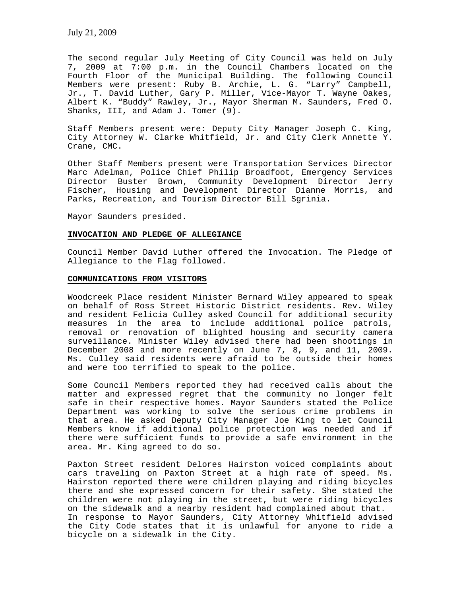The second regular July Meeting of City Council was held on July 7, 2009 at 7:00 p.m. in the Council Chambers located on the Fourth Floor of the Municipal Building. The following Council Members were present: Ruby B. Archie, L. G. "Larry" Campbell, Jr., T. David Luther, Gary P. Miller, Vice-Mayor T. Wayne Oakes, Albert K. "Buddy" Rawley, Jr., Mayor Sherman M. Saunders, Fred O. Shanks, III, and Adam J. Tomer (9).

Staff Members present were: Deputy City Manager Joseph C. King, City Attorney W. Clarke Whitfield, Jr. and City Clerk Annette Y. Crane, CMC.

Other Staff Members present were Transportation Services Director Marc Adelman, Police Chief Philip Broadfoot, Emergency Services Director Buster Brown, Community Development Director Jerry Fischer, Housing and Development Director Dianne Morris, and Parks, Recreation, and Tourism Director Bill Sgrinia.

Mayor Saunders presided.

### **INVOCATION AND PLEDGE OF ALLEGIANCE**

Council Member David Luther offered the Invocation. The Pledge of Allegiance to the Flag followed.

### **COMMUNICATIONS FROM VISITORS**

Woodcreek Place resident Minister Bernard Wiley appeared to speak on behalf of Ross Street Historic District residents. Rev. Wiley and resident Felicia Culley asked Council for additional security measures in the area to include additional police patrols, removal or renovation of blighted housing and security camera surveillance. Minister Wiley advised there had been shootings in December 2008 and more recently on June 7, 8, 9, and 11, 2009. Ms. Culley said residents were afraid to be outside their homes and were too terrified to speak to the police.

Some Council Members reported they had received calls about the matter and expressed regret that the community no longer felt safe in their respective homes. Mayor Saunders stated the Police Department was working to solve the serious crime problems in that area. He asked Deputy City Manager Joe King to let Council Members know if additional police protection was needed and if there were sufficient funds to provide a safe environment in the area. Mr. King agreed to do so.

Paxton Street resident Delores Hairston voiced complaints about cars traveling on Paxton Street at a high rate of speed. Ms. Hairston reported there were children playing and riding bicycles there and she expressed concern for their safety. She stated the children were not playing in the street, but were riding bicycles on the sidewalk and a nearby resident had complained about that. In response to Mayor Saunders, City Attorney Whitfield advised the City Code states that it is unlawful for anyone to ride a bicycle on a sidewalk in the City.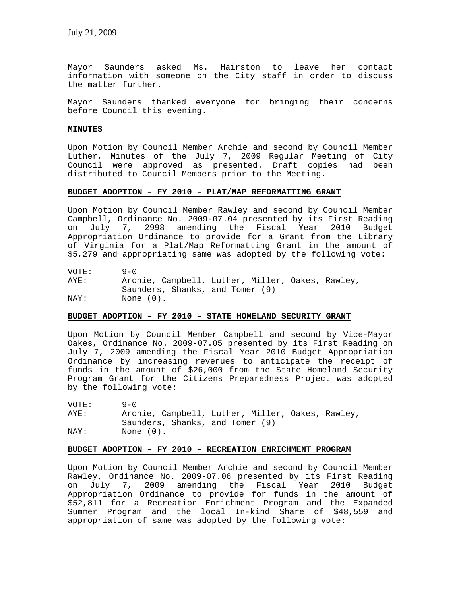Mayor Saunders asked Ms. Hairston to leave her contact information with someone on the City staff in order to discuss the matter further.

Mayor Saunders thanked everyone for bringing their concerns before Council this evening.

### **MINUTES**

Upon Motion by Council Member Archie and second by Council Member Luther, Minutes of the July 7, 2009 Regular Meeting of City Council were approved as presented. Draft copies had been distributed to Council Members prior to the Meeting.

# **BUDGET ADOPTION – FY 2010 – PLAT/MAP REFORMATTING GRANT**

Upon Motion by Council Member Rawley and second by Council Member Campbell, Ordinance No. 2009-07.04 presented by its First Reading on July 7, 2998 amending the Fiscal Year 2010 Budget Appropriation Ordinance to provide for a Grant from the Library of Virginia for a Plat/Map Reformatting Grant in the amount of \$5,279 and appropriating same was adopted by the following vote:

VOTE: 9-0<br>AYE: Arcl Archie, Campbell, Luther, Miller, Oakes, Rawley, Saunders, Shanks, and Tomer (9) NAY: None (0).

# **BUDGET ADOPTION – FY 2010 – STATE HOMELAND SECURITY GRANT**

Upon Motion by Council Member Campbell and second by Vice-Mayor Oakes, Ordinance No. 2009-07.05 presented by its First Reading on July 7, 2009 amending the Fiscal Year 2010 Budget Appropriation Ordinance by increasing revenues to anticipate the receipt of funds in the amount of \$26,000 from the State Homeland Security Program Grant for the Citizens Preparedness Project was adopted by the following vote:

VOTE: 9-0<br>AYE: Arc! Archie, Campbell, Luther, Miller, Oakes, Rawley, Saunders, Shanks, and Tomer (9) NAY: None  $(0)$ .

# **BUDGET ADOPTION – FY 2010 – RECREATION ENRICHMENT PROGRAM**

Upon Motion by Council Member Archie and second by Council Member Rawley, Ordinance No. 2009-07.06 presented by its First Reading on July 7, 2009 amending the Fiscal Year 2010 Budget Appropriation Ordinance to provide for funds in the amount of \$52,811 for a Recreation Enrichment Program and the Expanded Summer Program and the local In-kind Share of \$48,559 and appropriation of same was adopted by the following vote: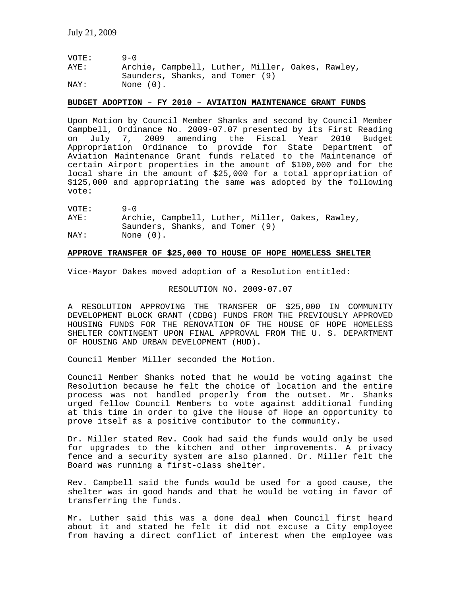| VOTE: | $9 - 0$                                          |
|-------|--------------------------------------------------|
| AYE:  | Archie, Campbell, Luther, Miller, Oakes, Rawley, |
|       | Saunders, Shanks, and Tomer (9)                  |
| NAY:  | None (0).                                        |

#### **BUDGET ADOPTION – FY 2010 – AVIATION MAINTENANCE GRANT FUNDS**

Upon Motion by Council Member Shanks and second by Council Member Campbell, Ordinance No. 2009-07.07 presented by its First Reading on July 7, 2009 amending the Fiscal Year 2010 Budget Appropriation Ordinance to provide for State Department of Aviation Maintenance Grant funds related to the Maintenance of certain Airport properties in the amount of \$100,000 and for the local share in the amount of \$25,000 for a total appropriation of \$125,000 and appropriating the same was adopted by the following vote:

| VOTE: | $9 - 0$                         |                                                  |
|-------|---------------------------------|--------------------------------------------------|
| AYE:  |                                 | Archie, Campbell, Luther, Miller, Oakes, Rawley, |
|       | Saunders, Shanks, and Tomer (9) |                                                  |
| NAY:  | None $(0)$ .                    |                                                  |

# **APPROVE TRANSFER OF \$25,000 TO HOUSE OF HOPE HOMELESS SHELTER**

Vice-Mayor Oakes moved adoption of a Resolution entitled:

# RESOLUTION NO. 2009-07.07

A RESOLUTION APPROVING THE TRANSFER OF \$25,000 IN COMMUNITY DEVELOPMENT BLOCK GRANT (CDBG) FUNDS FROM THE PREVIOUSLY APPROVED HOUSING FUNDS FOR THE RENOVATION OF THE HOUSE OF HOPE HOMELESS SHELTER CONTINGENT UPON FINAL APPROVAL FROM THE U. S. DEPARTMENT OF HOUSING AND URBAN DEVELOPMENT (HUD).

Council Member Miller seconded the Motion.

Council Member Shanks noted that he would be voting against the Resolution because he felt the choice of location and the entire process was not handled properly from the outset. Mr. Shanks urged fellow Council Members to vote against additional funding at this time in order to give the House of Hope an opportunity to prove itself as a positive contibutor to the community.

Dr. Miller stated Rev. Cook had said the funds would only be used for upgrades to the kitchen and other improvements. A privacy fence and a security system are also planned. Dr. Miller felt the Board was running a first-class shelter.

Rev. Campbell said the funds would be used for a good cause, the shelter was in good hands and that he would be voting in favor of transferring the funds.

Mr. Luther said this was a done deal when Council first heard about it and stated he felt it did not excuse a City employee from having a direct conflict of interest when the employee was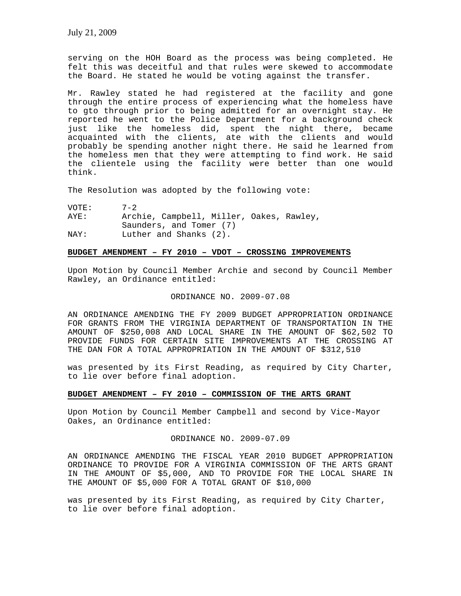serving on the HOH Board as the process was being completed. He felt this was deceitful and that rules were skewed to accommodate the Board. He stated he would be voting against the transfer.

Mr. Rawley stated he had registered at the facility and gone through the entire process of experiencing what the homeless have to gto through prior to being admitted for an overnight stay. He reported he went to the Police Department for a background check just like the homeless did, spent the night there, became acquainted with the clients, ate with the clients and would probably be spending another night there. He said he learned from the homeless men that they were attempting to find work. He said the clientele using the facility were better than one would think.

The Resolution was adopted by the following vote:

VOTE: 7-2 AYE: Archie, Campbell, Miller, Oakes, Rawley, Saunders, and Tomer (7) NAY: Luther and Shanks (2).

### **BUDGET AMENDMENT – FY 2010 – VDOT – CROSSING IMPROVEMENTS**

Upon Motion by Council Member Archie and second by Council Member Rawley, an Ordinance entitled:

#### ORDINANCE NO. 2009-07.08

AN ORDINANCE AMENDING THE FY 2009 BUDGET APPROPRIATION ORDINANCE FOR GRANTS FROM THE VIRGINIA DEPARTMENT OF TRANSPORTATION IN THE AMOUNT OF \$250,008 AND LOCAL SHARE IN THE AMOUNT OF \$62,502 TO PROVIDE FUNDS FOR CERTAIN SITE IMPROVEMENTS AT THE CROSSING AT THE DAN FOR A TOTAL APPROPRIATION IN THE AMOUNT OF \$312,510

was presented by its First Reading, as required by City Charter, to lie over before final adoption.

# **BUDGET AMENDMENT – FY 2010 – COMMISSION OF THE ARTS GRANT**

Upon Motion by Council Member Campbell and second by Vice-Mayor Oakes, an Ordinance entitled:

# ORDINANCE NO. 2009-07.09

AN ORDINANCE AMENDING THE FISCAL YEAR 2010 BUDGET APPROPRIATION ORDINANCE TO PROVIDE FOR A VIRGINIA COMMISSION OF THE ARTS GRANT IN THE AMOUNT OF \$5,000, AND TO PROVIDE FOR THE LOCAL SHARE IN THE AMOUNT OF \$5,000 FOR A TOTAL GRANT OF \$10,000

was presented by its First Reading, as required by City Charter, to lie over before final adoption.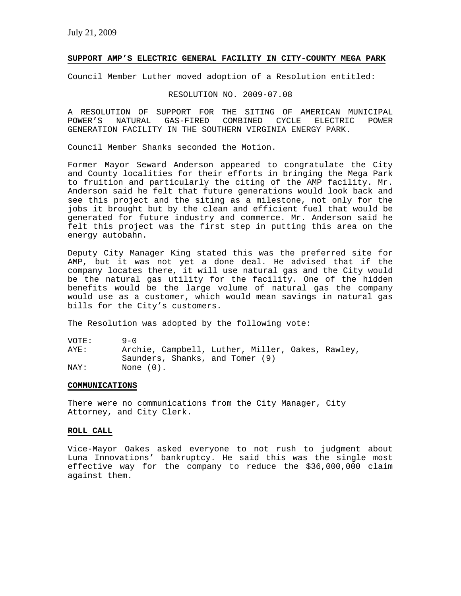# **SUPPORT AMP'S ELECTRIC GENERAL FACILITY IN CITY-COUNTY MEGA PARK**

Council Member Luther moved adoption of a Resolution entitled:

# RESOLUTION NO. 2009-07.08

A RESOLUTION OF SUPPORT FOR THE SITING OF AMERICAN MUNICIPAL POWER'S NATURAL GAS-FIRED COMBINED CYCLE ELECTRIC POWER GENERATION FACILITY IN THE SOUTHERN VIRGINIA ENERGY PARK.

Council Member Shanks seconded the Motion.

Former Mayor Seward Anderson appeared to congratulate the City and County localities for their efforts in bringing the Mega Park to fruition and particularly the citing of the AMP facility. Mr. Anderson said he felt that future generations would look back and see this project and the siting as a milestone, not only for the jobs it brought but by the clean and efficient fuel that would be generated for future industry and commerce. Mr. Anderson said he felt this project was the first step in putting this area on the energy autobahn.

Deputy City Manager King stated this was the preferred site for AMP, but it was not yet a done deal. He advised that if the company locates there, it will use natural gas and the City would be the natural gas utility for the facility. One of the hidden benefits would be the large volume of natural gas the company would use as a customer, which would mean savings in natural gas bills for the City's customers.

The Resolution was adopted by the following vote:

| VOTE: | $9 - 0$                                          |  |
|-------|--------------------------------------------------|--|
| AYE:  | Archie, Campbell, Luther, Miller, Oakes, Rawley, |  |
|       | Saunders, Shanks, and Tomer (9)                  |  |
| NAY:  | None (0).                                        |  |

#### **COMMUNICATIONS**

There were no communications from the City Manager, City Attorney, and City Clerk.

#### **ROLL CALL**

Vice-Mayor Oakes asked everyone to not rush to judgment about Luna Innovations' bankruptcy. He said this was the single most effective way for the company to reduce the \$36,000,000 claim against them.